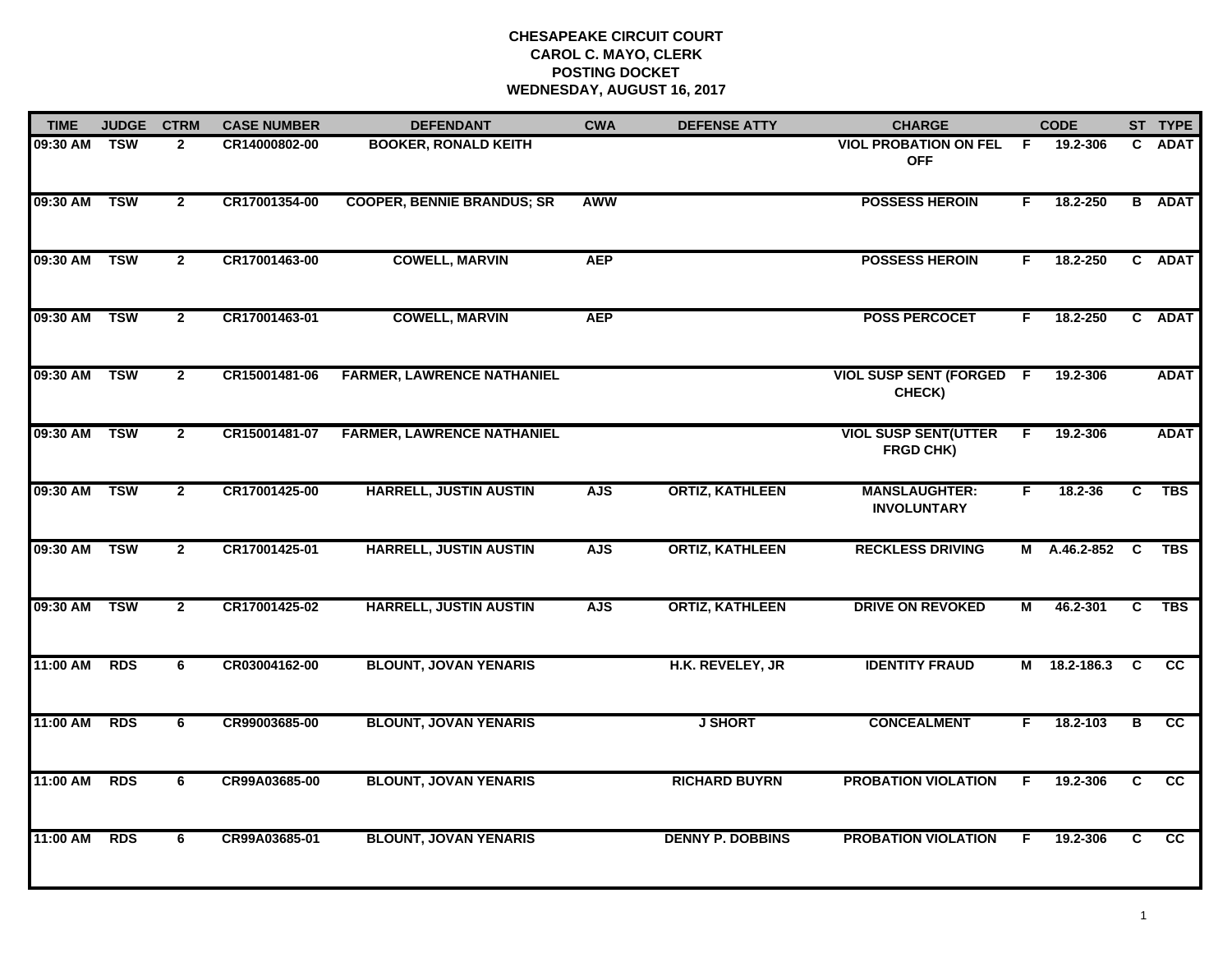| <b>BOOKER, RONALD KEITH</b><br><b>COOPER, BENNIE BRANDUS; SR</b><br><b>COWELL, MARVIN</b><br><b>COWELL, MARVIN</b><br><b>FARMER, LAWRENCE NATHANIEL</b> | <b>AWW</b><br><b>AEP</b><br><b>AEP</b> |                         | <b>VIOL PROBATION ON FEL</b><br><b>OFF</b><br><b>POSSESS HEROIN</b><br><b>POSSESS HEROIN</b><br><b>POSS PERCOCET</b><br><b>VIOL SUSP SENT (FORGED F</b> | -F<br>F.<br>F.<br>F | 19.2-306<br>18.2-250<br>18.2-250<br>18.2-250 | C. | <b>ADAT</b><br><b>B</b> ADAT<br>C ADAT<br>C ADAT |
|---------------------------------------------------------------------------------------------------------------------------------------------------------|----------------------------------------|-------------------------|---------------------------------------------------------------------------------------------------------------------------------------------------------|---------------------|----------------------------------------------|----|--------------------------------------------------|
|                                                                                                                                                         |                                        |                         |                                                                                                                                                         |                     |                                              |    |                                                  |
|                                                                                                                                                         |                                        |                         |                                                                                                                                                         |                     |                                              |    |                                                  |
|                                                                                                                                                         |                                        |                         |                                                                                                                                                         |                     |                                              |    |                                                  |
|                                                                                                                                                         |                                        |                         |                                                                                                                                                         |                     |                                              |    |                                                  |
|                                                                                                                                                         |                                        |                         | CHECK)                                                                                                                                                  |                     | 19.2-306                                     |    | <b>ADAT</b>                                      |
|                                                                                                                                                         |                                        |                         | <b>VIOL SUSP SENT(UTTER</b><br>FRGD CHK)                                                                                                                | F.                  | 19.2-306                                     |    | <b>ADAT</b>                                      |
| <b>HARRELL, JUSTIN AUSTIN</b>                                                                                                                           | <b>AJS</b>                             | <b>ORTIZ, KATHLEEN</b>  | <b>MANSLAUGHTER:</b><br><b>INVOLUNTARY</b>                                                                                                              | F.                  | $18.2 - 36$                                  | C. | <b>TBS</b>                                       |
| <b>HARRELL, JUSTIN AUSTIN</b>                                                                                                                           | <b>AJS</b>                             | <b>ORTIZ, KATHLEEN</b>  | <b>RECKLESS DRIVING</b>                                                                                                                                 |                     |                                              |    | <b>TBS</b>                                       |
| <b>HARRELL, JUSTIN AUSTIN</b>                                                                                                                           | <b>AJS</b>                             | <b>ORTIZ, KATHLEEN</b>  | <b>DRIVE ON REVOKED</b>                                                                                                                                 | М                   | 46.2-301                                     | C. | <b>TBS</b>                                       |
| <b>BLOUNT, JOVAN YENARIS</b>                                                                                                                            |                                        | H.K. REVELEY, JR        | <b>IDENTITY FRAUD</b>                                                                                                                                   |                     | 18.2-186.3                                   | C  | <b>CC</b>                                        |
| <b>BLOUNT, JOVAN YENARIS</b>                                                                                                                            |                                        | <b>J SHORT</b>          | <b>CONCEALMENT</b>                                                                                                                                      | F.                  | 18.2-103                                     | В  | cc                                               |
| <b>BLOUNT, JOVAN YENARIS</b>                                                                                                                            |                                        | <b>RICHARD BUYRN</b>    | <b>PROBATION VIOLATION</b>                                                                                                                              | F                   | 19.2-306                                     | C  | $\overline{cc}$                                  |
| <b>BLOUNT, JOVAN YENARIS</b>                                                                                                                            |                                        | <b>DENNY P. DOBBINS</b> | <b>PROBATION VIOLATION</b>                                                                                                                              | F                   | 19.2-306                                     | C  | cc                                               |
|                                                                                                                                                         | <b>FARMER, LAWRENCE NATHANIEL</b>      |                         |                                                                                                                                                         |                     |                                              | M  | M A.46.2-852 C                                   |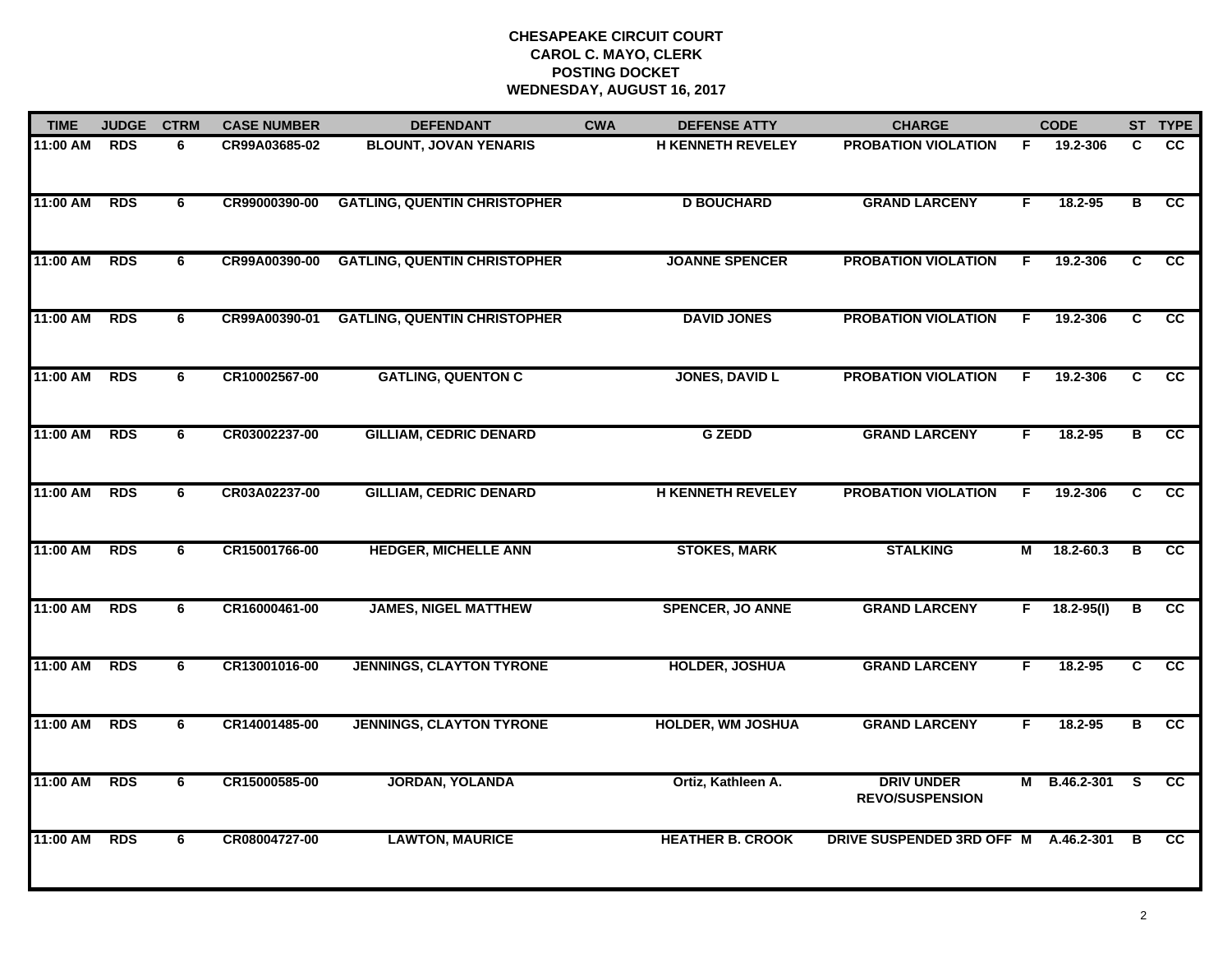| <b>TIME</b> | <b>JUDGE</b> | <b>CTRM</b> | <b>CASE NUMBER</b> | <b>DEFENDANT</b>                    | <b>CWA</b> | <b>DEFENSE ATTY</b>      | <b>CHARGE</b>                               |    | <b>CODE</b>    |                         | ST TYPE         |
|-------------|--------------|-------------|--------------------|-------------------------------------|------------|--------------------------|---------------------------------------------|----|----------------|-------------------------|-----------------|
| 11:00 AM    | <b>RDS</b>   | 6           | CR99A03685-02      | <b>BLOUNT, JOVAN YENARIS</b>        |            | <b>H KENNETH REVELEY</b> | <b>PROBATION VIOLATION</b>                  | F. | 19.2-306       | C                       | <b>CC</b>       |
| 11:00 AM    | <b>RDS</b>   | 6           | CR99000390-00      | <b>GATLING, QUENTIN CHRISTOPHER</b> |            | <b>D BOUCHARD</b>        | <b>GRAND LARCENY</b>                        | F  | 18.2-95        | $\overline{\mathbf{B}}$ | cc              |
| 11:00 AM    | <b>RDS</b>   | 6           | CR99A00390-00      | <b>GATLING, QUENTIN CHRISTOPHER</b> |            | <b>JOANNE SPENCER</b>    | <b>PROBATION VIOLATION</b>                  | F. | 19.2-306       | C.                      | CC              |
| 11:00 AM    | <b>RDS</b>   | 6           | CR99A00390-01      | <b>GATLING, QUENTIN CHRISTOPHER</b> |            | <b>DAVID JONES</b>       | <b>PROBATION VIOLATION</b>                  | F  | 19.2-306       | C                       | <b>CC</b>       |
| 11:00 AM    | <b>RDS</b>   | 6           | CR10002567-00      | <b>GATLING, QUENTON C</b>           |            | <b>JONES, DAVID L</b>    | <b>PROBATION VIOLATION</b>                  | F. | 19.2-306       | C                       | $\overline{cc}$ |
| 11:00 AM    | <b>RDS</b>   | 6           | CR03002237-00      | <b>GILLIAM, CEDRIC DENARD</b>       |            | <b>G ZEDD</b>            | <b>GRAND LARCENY</b>                        | F. | 18.2-95        | В                       | cc              |
| 11:00 AM    | <b>RDS</b>   | 6           | CR03A02237-00      | <b>GILLIAM, CEDRIC DENARD</b>       |            | <b>H KENNETH REVELEY</b> | <b>PROBATION VIOLATION</b>                  | F. | 19.2-306       | C                       | cc              |
| 11:00 AM    | <b>RDS</b>   | 6           | CR15001766-00      | <b>HEDGER, MICHELLE ANN</b>         |            | <b>STOKES, MARK</b>      | <b>STALKING</b>                             | М  | $18.2 - 60.3$  | В                       | cc              |
| 11:00 AM    | <b>RDS</b>   | 6           | CR16000461-00      | <b>JAMES, NIGEL MATTHEW</b>         |            | <b>SPENCER, JO ANNE</b>  | <b>GRAND LARCENY</b>                        | F. | $18.2 - 95(1)$ | в                       | cc              |
| 11:00 AM    | <b>RDS</b>   | 6           | CR13001016-00      | <b>JENNINGS, CLAYTON TYRONE</b>     |            | <b>HOLDER, JOSHUA</b>    | <b>GRAND LARCENY</b>                        | F. | 18.2-95        | C                       | cc              |
| 11:00 AM    | <b>RDS</b>   | 6           | CR14001485-00      | <b>JENNINGS, CLAYTON TYRONE</b>     |            | <b>HOLDER, WM JOSHUA</b> | <b>GRAND LARCENY</b>                        | F. | 18.2-95        | В                       | cc              |
| 11:00 AM    | <b>RDS</b>   | 6           | CR15000585-00      | <b>JORDAN, YOLANDA</b>              |            | Ortiz, Kathleen A.       | <b>DRIV UNDER</b><br><b>REVO/SUSPENSION</b> |    | M B.46.2-301   | - S                     | <b>CC</b>       |
| 11:00 AM    | <b>RDS</b>   | 6           | CR08004727-00      | <b>LAWTON, MAURICE</b>              |            | <b>HEATHER B. CROOK</b>  | DRIVE SUSPENDED 3RD OFF M                   |    | A.46.2-301     | B                       | cc              |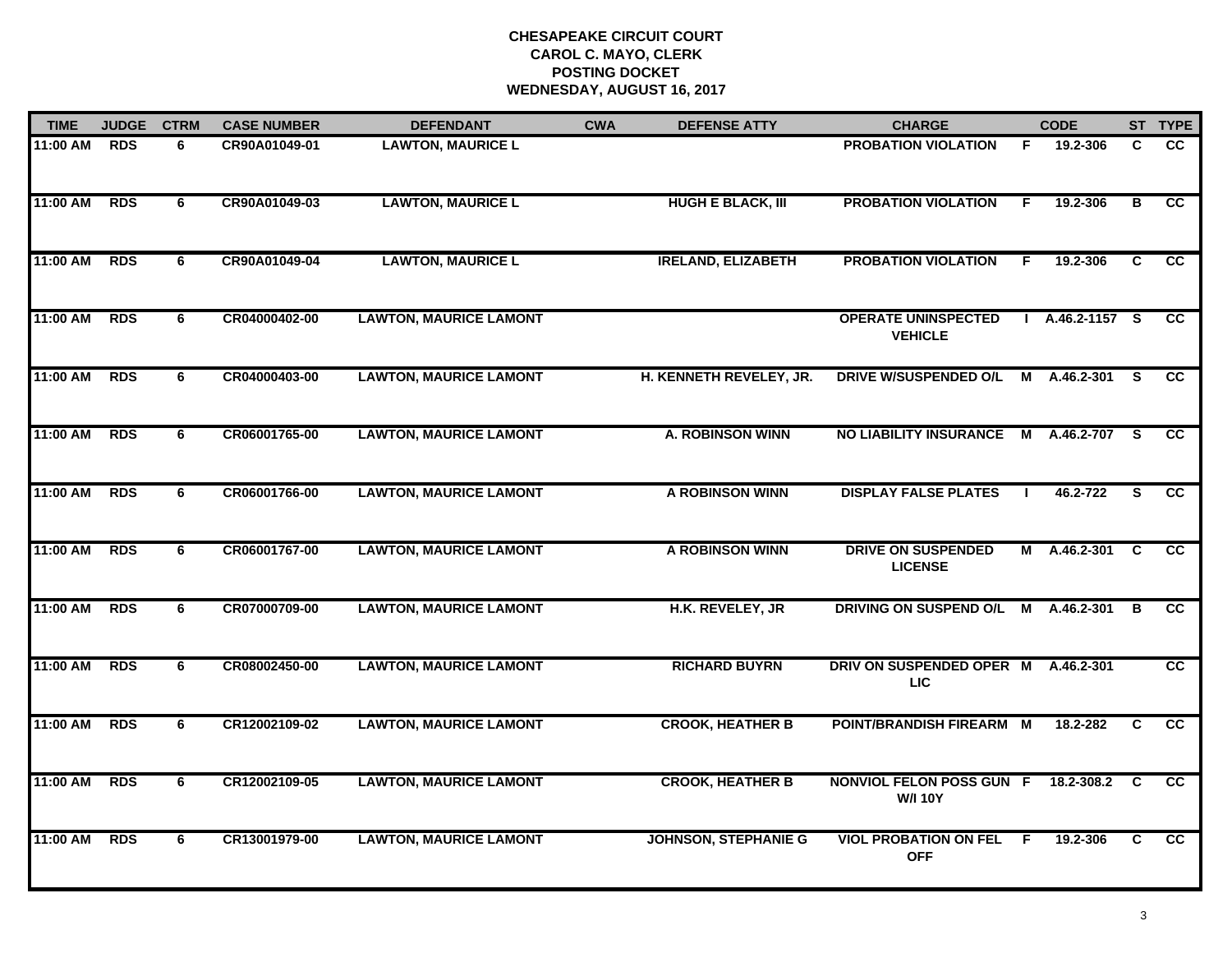| <b>TIME</b> | <b>JUDGE</b> | <b>CTRM</b> | <b>CASE NUMBER</b> | <b>DEFENDANT</b>              | <b>CWA</b> | <b>DEFENSE ATTY</b>         | <b>CHARGE</b>                                     |    | <b>CODE</b>    |     | ST TYPE         |
|-------------|--------------|-------------|--------------------|-------------------------------|------------|-----------------------------|---------------------------------------------------|----|----------------|-----|-----------------|
| $11:00$ AM  | <b>RDS</b>   | 6           | CR90A01049-01      | <b>LAWTON, MAURICE L</b>      |            |                             | <b>PROBATION VIOLATION</b>                        | F. | 19.2-306       | C.  | <b>CC</b>       |
| 11:00 AM    | <b>RDS</b>   | 6           | CR90A01049-03      | <b>LAWTON, MAURICE L</b>      |            | <b>HUGH E BLACK, III</b>    | <b>PROBATION VIOLATION</b>                        | F. | 19.2-306       | В   | cc              |
| 11:00 AM    | <b>RDS</b>   | 6           | CR90A01049-04      | <b>LAWTON, MAURICE L</b>      |            | <b>IRELAND, ELIZABETH</b>   | <b>PROBATION VIOLATION</b>                        | F. | 19.2-306       | C   | <b>CC</b>       |
| 11:00 AM    | <b>RDS</b>   | 6           | CR04000402-00      | <b>LAWTON, MAURICE LAMONT</b> |            |                             | <b>OPERATE UNINSPECTED</b><br><b>VEHICLE</b>      |    | A.46.2-1157 S  |     | CC.             |
| 11:00 AM    | <b>RDS</b>   | 6           | CR04000403-00      | <b>LAWTON, MAURICE LAMONT</b> |            | H. KENNETH REVELEY, JR.     | DRIVE W/SUSPENDED O/L                             |    | M A.46.2-301 S |     | <b>CC</b>       |
| 11:00 AM    | <b>RDS</b>   | 6           | CR06001765-00      | <b>LAWTON, MAURICE LAMONT</b> |            | <b>A. ROBINSON WINN</b>     | <b>NO LIABILITY INSURANCE</b>                     |    | M A.46.2-707   | - S | <b>CC</b>       |
| 11:00 AM    | <b>RDS</b>   | 6           | CR06001766-00      | <b>LAWTON, MAURICE LAMONT</b> |            | A ROBINSON WINN             | <b>DISPLAY FALSE PLATES</b>                       |    | 46.2-722       | S   | CC              |
| 11:00 AM    | <b>RDS</b>   | 6           | CR06001767-00      | <b>LAWTON, MAURICE LAMONT</b> |            | A ROBINSON WINN             | <b>DRIVE ON SUSPENDED</b><br><b>LICENSE</b>       |    | M A.46.2-301   | C   | $\overline{cc}$ |
| 11:00 AM    | <b>RDS</b>   | 6           | CR07000709-00      | <b>LAWTON, MAURICE LAMONT</b> |            | H.K. REVELEY, JR            | DRIVING ON SUSPEND O/L                            | M  | A.46.2-301     | B   | <b>CC</b>       |
| 11:00 AM    | <b>RDS</b>   | 6           | CR08002450-00      | <b>LAWTON, MAURICE LAMONT</b> |            | <b>RICHARD BUYRN</b>        | DRIV ON SUSPENDED OPER M<br><b>LIC</b>            |    | A.46.2-301     |     | cc              |
| 11:00 AM    | <b>RDS</b>   | 6           | CR12002109-02      | <b>LAWTON, MAURICE LAMONT</b> |            | <b>CROOK, HEATHER B</b>     | POINT/BRANDISH FIREARM M                          |    | 18.2-282       | C   | CC              |
| 11:00 AM    | <b>RDS</b>   | 6           | CR12002109-05      | <b>LAWTON, MAURICE LAMONT</b> |            | <b>CROOK, HEATHER B</b>     | <b>NONVIOL FELON POSS GUN F</b><br><b>W/I 10Y</b> |    | 18.2-308.2     | C   | <b>CC</b>       |
| 11:00 AM    | <b>RDS</b>   | 6           | CR13001979-00      | <b>LAWTON, MAURICE LAMONT</b> |            | <b>JOHNSON, STEPHANIE G</b> | <b>VIOL PROBATION ON FEL</b><br><b>OFF</b>        | -F | 19.2-306       | C.  | $\overline{cc}$ |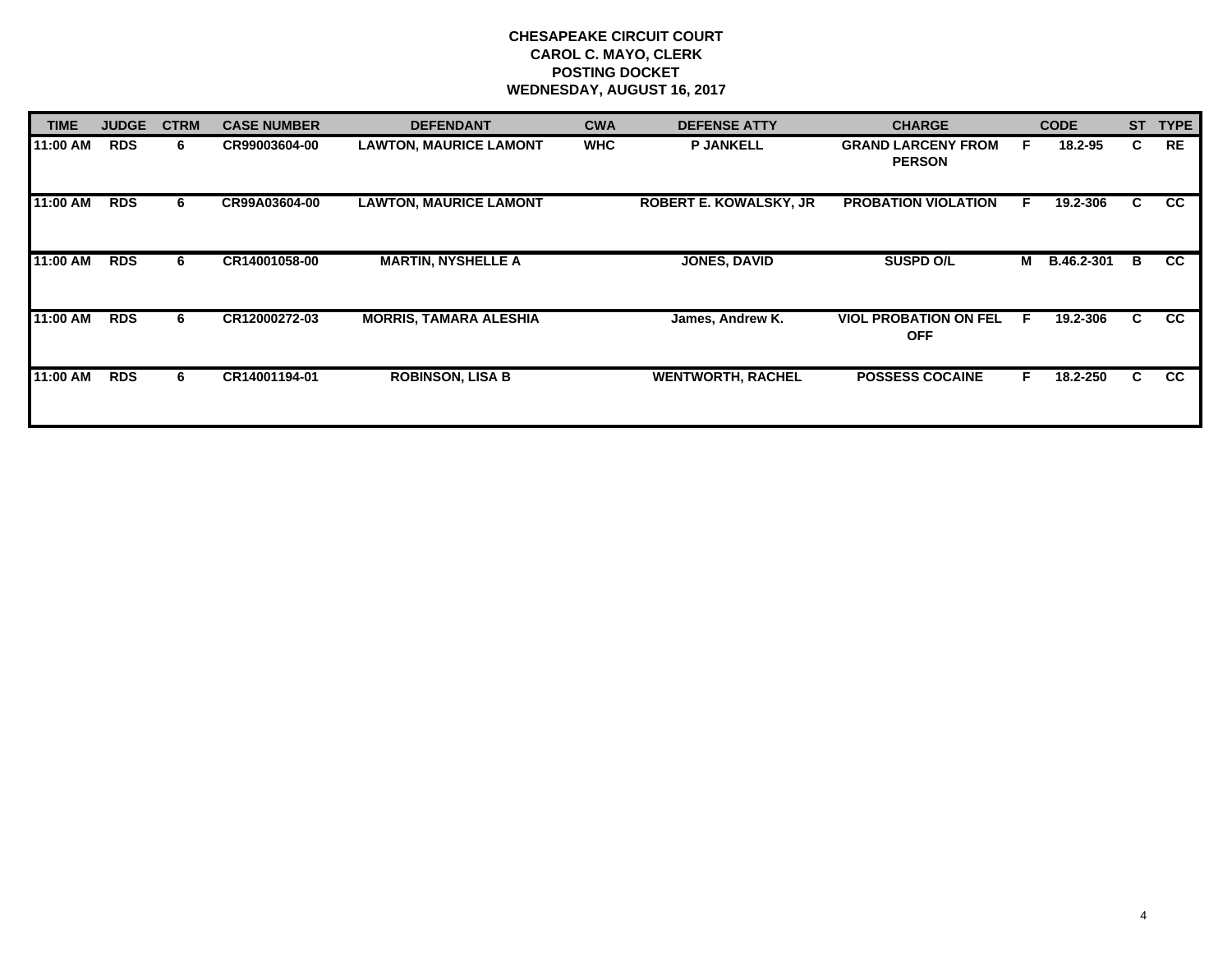| <b>TIME</b> | <b>JUDGE</b> | <b>CTRM</b> | <b>CASE NUMBER</b> | <b>DEFENDANT</b>              | <b>CWA</b> | <b>CHARGE</b><br><b>DEFENSE ATTY</b> |                                            |   | <b>CODE</b>       | <b>ST</b> | <b>TYPE</b> |
|-------------|--------------|-------------|--------------------|-------------------------------|------------|--------------------------------------|--------------------------------------------|---|-------------------|-----------|-------------|
| 11:00 AM    | <b>RDS</b>   | 6           | CR99003604-00      | <b>LAWTON, MAURICE LAMONT</b> | <b>WHC</b> | <b>P JANKELL</b>                     | <b>GRAND LARCENY FROM</b><br><b>PERSON</b> | F | 18.2-95           | C.        | <b>RE</b>   |
| 11:00 AM    | <b>RDS</b>   | 6           | CR99A03604-00      | <b>LAWTON, MAURICE LAMONT</b> |            | <b>ROBERT E. KOWALSKY, JR</b>        | <b>PROBATION VIOLATION</b>                 | E | 19.2-306          | C.        | <b>CC</b>   |
| 11:00 AM    | <b>RDS</b>   | 6           | CR14001058-00      | <b>MARTIN, NYSHELLE A</b>     |            | <b>JONES, DAVID</b>                  | <b>SUSPD O/L</b>                           | м | <b>B.46.2-301</b> | B         | <b>CC</b>   |
| 11:00 AM    | <b>RDS</b>   | 6           | CR12000272-03      | <b>MORRIS, TAMARA ALESHIA</b> |            | James, Andrew K.                     | <b>VIOL PROBATION ON FEL</b><br><b>OFF</b> | F | 19.2-306          | C.        | <b>CC</b>   |
| 11:00 AM    | <b>RDS</b>   | 6.          | CR14001194-01      | <b>ROBINSON, LISA B</b>       |            | <b>WENTWORTH, RACHEL</b>             | <b>POSSESS COCAINE</b>                     |   | 18.2-250          | C         | <b>CC</b>   |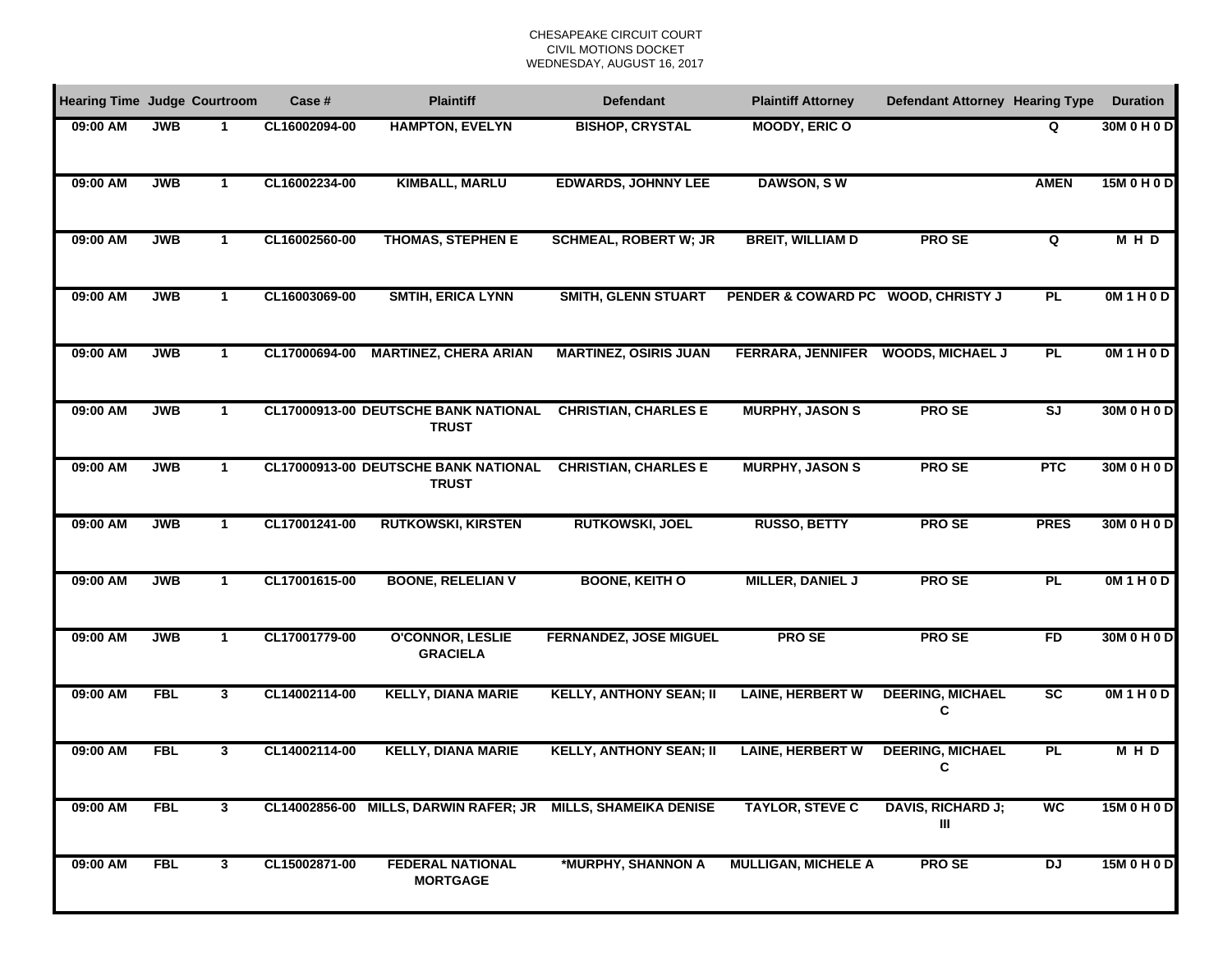### CHESAPEAKE CIRCUIT COURTCIVIL MOTIONS DOCKET WEDNESDAY, AUGUST 16, 2017

| <b>Hearing Time Judge Courtroom</b> |            |                      | Case #        | <b>Plaintiff</b>                                             | <b>Defendant</b>               | <b>Plaintiff Attorney</b>          | <b>Defendant Attorney Hearing Type</b> |                                      | <b>Duration</b> |
|-------------------------------------|------------|----------------------|---------------|--------------------------------------------------------------|--------------------------------|------------------------------------|----------------------------------------|--------------------------------------|-----------------|
| 09:00 AM                            | <b>JWB</b> | 1                    | CL16002094-00 | <b>HAMPTON, EVELYN</b>                                       | <b>BISHOP, CRYSTAL</b>         | <b>MOODY, ERIC O</b>               |                                        | Q                                    | 30M 0 H 0 D     |
| 09:00 AM                            | <b>JWB</b> | $\mathbf 1$          | CL16002234-00 | <b>KIMBALL, MARLU</b>                                        | <b>EDWARDS, JOHNNY LEE</b>     | <b>DAWSON, SW</b>                  |                                        | <b>AMEN</b>                          | 15M 0 H 0 D     |
| 09:00 AM                            | <b>JWB</b> | $\mathbf 1$          | CL16002560-00 | <b>THOMAS, STEPHEN E</b>                                     | <b>SCHMEAL, ROBERT W; JR</b>   | <b>BREIT, WILLIAM D</b>            | <b>PROSE</b>                           | Q                                    | <b>MHD</b>      |
| 09:00 AM                            | <b>JWB</b> | $\mathbf 1$          | CL16003069-00 | <b>SMTIH, ERICA LYNN</b>                                     | <b>SMITH, GLENN STUART</b>     | PENDER & COWARD PC WOOD, CHRISTY J |                                        | <b>PL</b>                            | OM1H0D          |
| 09:00 AM                            | <b>JWB</b> | $\mathbf 1$          | CL17000694-00 | <b>MARTINEZ, CHERA ARIAN</b>                                 | <b>MARTINEZ, OSIRIS JUAN</b>   | FERRARA, JENNIFER WOODS, MICHAEL J |                                        | PL                                   | OM1H0D          |
| 09:00 AM                            | <b>JWB</b> | $\mathbf{1}$         |               | <b>CL17000913-00 DEUTSCHE BANK NATIONAL</b><br><b>TRUST</b>  | <b>CHRISTIAN, CHARLES E</b>    | <b>MURPHY, JASON S</b>             | <b>PROSE</b>                           | $\overline{\mathsf{S}^{\mathsf{J}}}$ | 30M 0 H 0 D     |
| 09:00 AM                            | <b>JWB</b> | $\mathbf{1}$         |               | CL17000913-00 DEUTSCHE BANK NATIONAL<br><b>TRUST</b>         | <b>CHRISTIAN, CHARLES E</b>    | <b>MURPHY, JASON S</b>             | <b>PROSE</b>                           | <b>PTC</b>                           | 30M 0 H 0 D     |
| 09:00 AM                            | <b>JWB</b> | $\mathbf{1}$         | CL17001241-00 | <b>RUTKOWSKI, KIRSTEN</b>                                    | <b>RUTKOWSKI, JOEL</b>         | <b>RUSSO, BETTY</b>                | <b>PROSE</b>                           | <b>PRES</b>                          | 30M 0 H 0 D     |
| 09:00 AM                            | <b>JWB</b> | $\mathbf{1}$         | CL17001615-00 | <b>BOONE, RELELIAN V</b>                                     | <b>BOONE, KEITH O</b>          | <b>MILLER, DANIEL J</b>            | <b>PROSE</b>                           | <b>PL</b>                            | OM1H0D          |
| 09:00 AM                            | <b>JWB</b> | $\blacktriangleleft$ | CL17001779-00 | <b>O'CONNOR, LESLIE</b><br><b>GRACIELA</b>                   | <b>FERNANDEZ, JOSE MIGUEL</b>  | <b>PROSE</b>                       | <b>PROSE</b>                           | <b>FD</b>                            | 30M 0 H 0 D     |
| 09:00 AM                            | <b>FBL</b> | $\mathbf{3}$         | CL14002114-00 | <b>KELLY, DIANA MARIE</b>                                    | <b>KELLY, ANTHONY SEAN; II</b> | <b>LAINE, HERBERT W</b>            | <b>DEERING, MICHAEL</b><br>C           | $\overline{\text{sc}}$               | OM1H0D          |
| 09:00 AM                            | <b>FBL</b> | $\mathbf{3}$         | CL14002114-00 | <b>KELLY, DIANA MARIE</b>                                    | <b>KELLY, ANTHONY SEAN; II</b> | <b>LAINE, HERBERT W</b>            | <b>DEERING, MICHAEL</b><br>C           | PL                                   | <b>MHD</b>      |
| 09:00 AM                            | <b>FBL</b> | 3                    |               | CL14002856-00 MILLS, DARWIN RAFER; JR MILLS, SHAMEIKA DENISE |                                | <b>TAYLOR, STEVE C</b>             | <b>DAVIS, RICHARD J;</b><br>Ш          | <b>WC</b>                            | 15M 0 H 0 D     |
| 09:00 AM                            | <b>FBL</b> | $\mathbf{3}$         | CL15002871-00 | <b>FEDERAL NATIONAL</b><br><b>MORTGAGE</b>                   | *MURPHY, SHANNON A             | <b>MULLIGAN, MICHELE A</b>         | <b>PROSE</b>                           | <b>DJ</b>                            | 15M 0 H 0 D     |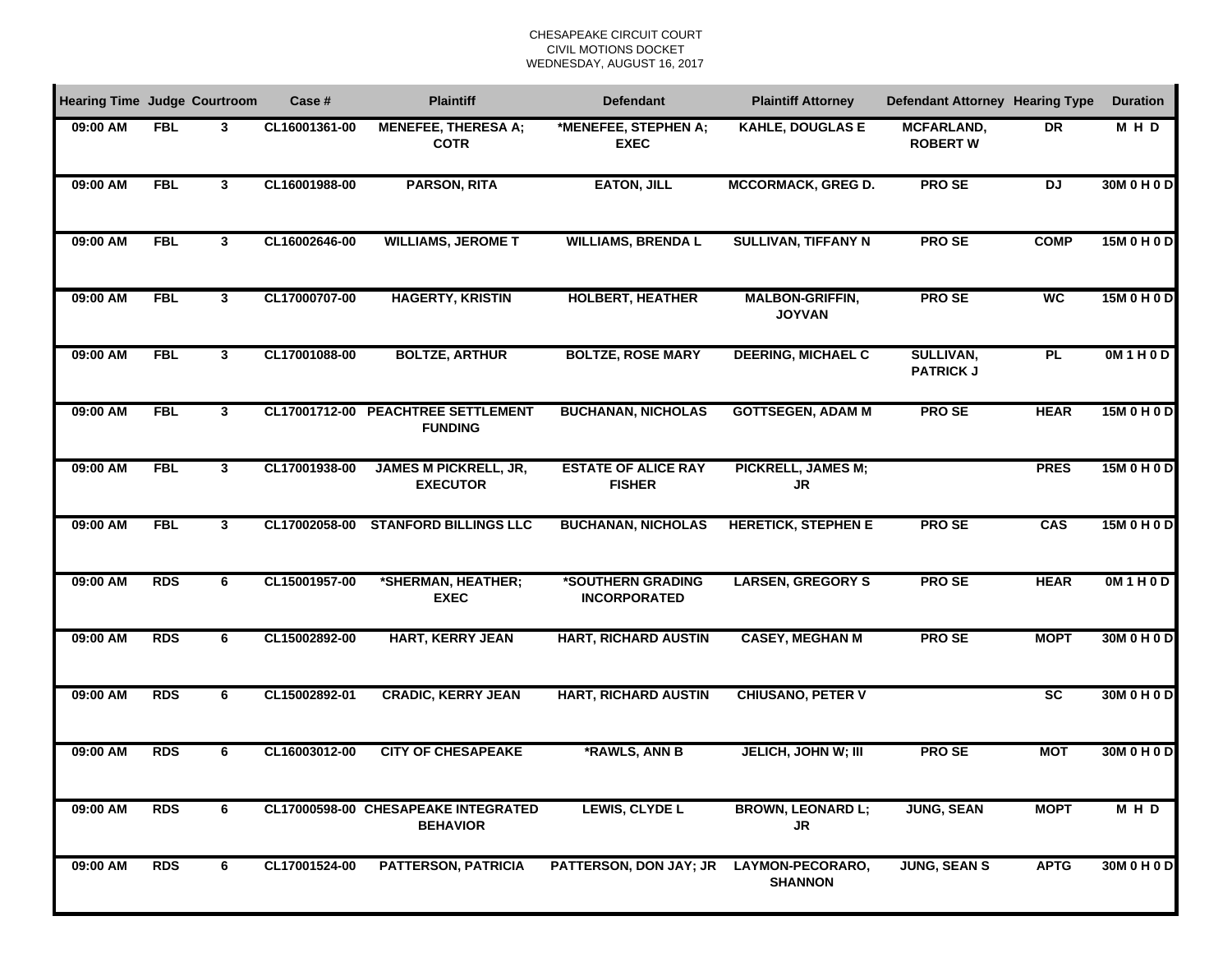### CHESAPEAKE CIRCUIT COURTCIVIL MOTIONS DOCKET WEDNESDAY, AUGUST 16, 2017

| <b>Hearing Time Judge Courtroom</b> |            |              | Case #        | <b>Plaintiff</b>                                       | <b>Defendant</b>                            | <b>Plaintiff Attorney</b>               | <b>Defendant Attorney Hearing Type</b> |                        | <b>Duration</b> |
|-------------------------------------|------------|--------------|---------------|--------------------------------------------------------|---------------------------------------------|-----------------------------------------|----------------------------------------|------------------------|-----------------|
| 09:00 AM                            | <b>FBL</b> | 3            | CL16001361-00 | <b>MENEFEE, THERESA A;</b><br><b>COTR</b>              | *MENEFEE, STEPHEN A;<br><b>EXEC</b>         | <b>KAHLE, DOUGLAS E</b>                 | <b>MCFARLAND,</b><br><b>ROBERT W</b>   | <b>DR</b>              | M H D           |
| 09:00 AM                            | <b>FBL</b> | 3            | CL16001988-00 | <b>PARSON, RITA</b>                                    | <b>EATON, JILL</b>                          | <b>MCCORMACK, GREG D.</b>               | <b>PROSE</b>                           | <b>DJ</b>              | 30M 0 H 0 D     |
| 09:00 AM                            | <b>FBL</b> | 3            | CL16002646-00 | <b>WILLIAMS, JEROME T</b>                              | <b>WILLIAMS, BRENDA L</b>                   | SULLIVAN, TIFFANY N                     | <b>PROSE</b>                           | <b>COMP</b>            | 15M 0 H 0 D     |
| 09:00 AM                            | <b>FBL</b> | 3            | CL17000707-00 | <b>HAGERTY, KRISTIN</b>                                | <b>HOLBERT, HEATHER</b>                     | <b>MALBON-GRIFFIN,</b><br><b>JOYVAN</b> | <b>PROSE</b>                           | <b>WC</b>              | 15M 0 H 0 D     |
| 09:00 AM                            | <b>FBL</b> | 3            | CL17001088-00 | <b>BOLTZE, ARTHUR</b>                                  | <b>BOLTZE, ROSE MARY</b>                    | <b>DEERING, MICHAEL C</b>               | SULLIVAN,<br><b>PATRICK J</b>          | <b>PL</b>              | OM1H0D          |
| 09:00 AM                            | <b>FBL</b> | $\mathbf{3}$ |               | CL17001712-00 PEACHTREE SETTLEMENT<br><b>FUNDING</b>   | <b>BUCHANAN, NICHOLAS</b>                   | <b>GOTTSEGEN, ADAM M</b>                | <b>PROSE</b>                           | <b>HEAR</b>            | 15M 0 H 0 D     |
| 09:00 AM                            | <b>FBL</b> | $\mathbf{3}$ | CL17001938-00 | <b>JAMES M PICKRELL, JR,</b><br><b>EXECUTOR</b>        | <b>ESTATE OF ALICE RAY</b><br><b>FISHER</b> | PICKRELL, JAMES M;<br>JR                |                                        | <b>PRES</b>            | 15M 0 H 0 D     |
| 09:00 AM                            | <b>FBL</b> | $\mathbf{3}$ | CL17002058-00 | <b>STANFORD BILLINGS LLC</b>                           | <b>BUCHANAN, NICHOLAS</b>                   | <b>HERETICK, STEPHEN E</b>              | <b>PROSE</b>                           | CAS                    | 15M 0 H 0 D     |
| 09:00 AM                            | <b>RDS</b> | 6            | CL15001957-00 | *SHERMAN, HEATHER;<br><b>EXEC</b>                      | *SOUTHERN GRADING<br><b>INCORPORATED</b>    | <b>LARSEN, GREGORY S</b>                | <b>PROSE</b>                           | <b>HEAR</b>            | OM1H0D          |
| 09:00 AM                            | <b>RDS</b> | 6            | CL15002892-00 | HART, KERRY JEAN                                       | <b>HART, RICHARD AUSTIN</b>                 | <b>CASEY, MEGHAN M</b>                  | <b>PROSE</b>                           | <b>MOPT</b>            | 30M 0 H 0 D     |
| 09:00 AM                            | <b>RDS</b> | 6            | CL15002892-01 | <b>CRADIC, KERRY JEAN</b>                              | <b>HART, RICHARD AUSTIN</b>                 | <b>CHIUSANO, PETER V</b>                |                                        | $\overline{\text{sc}}$ | 30M 0 H 0 D     |
| 09:00 AM                            | <b>RDS</b> | 6            | CL16003012-00 | <b>CITY OF CHESAPEAKE</b>                              | *RAWLS, ANN B                               | <b>JELICH, JOHN W; III</b>              | <b>PROSE</b>                           | <b>MOT</b>             | 30M 0 H 0 D     |
| 09:00 AM                            | <b>RDS</b> | 6            |               | CL17000598-00 CHESAPEAKE INTEGRATED<br><b>BEHAVIOR</b> | LEWIS, CLYDE L                              | <b>BROWN, LEONARD L;</b><br>JR          | <b>JUNG, SEAN</b>                      | <b>MOPT</b>            | MHD             |
| 09:00 AM                            | <b>RDS</b> | 6            | CL17001524-00 | <b>PATTERSON, PATRICIA</b>                             | <b>PATTERSON, DON JAY; JR</b>               | LAYMON-PECORARO,<br><b>SHANNON</b>      | <b>JUNG, SEAN S</b>                    | <b>APTG</b>            | 30M 0 H 0 D     |